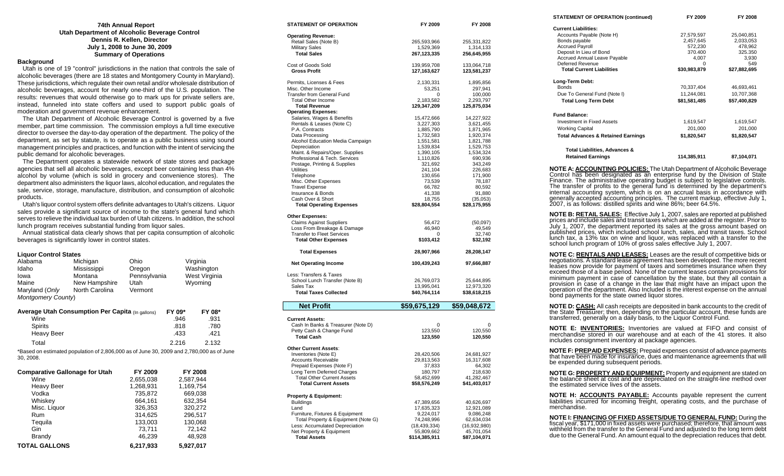#### **74th Annual Report Utah Department of Alcoholic Beverage Control Dennis R. Kellen, Director July 1, 2008 to June 30, 2009 Summary of Operations**

#### **Background**

 Utah is one of 19 "control" jurisdictions in the nation that controls the sale of alcoholic beverages (there are 18 states and Montgomery County in Maryland). These jurisdictions, which regulate their own retail and/or wholesale distribution of alcoholic beverages, account for nearly one-third of the U.S. population. The results: revenues that would otherwise go to mark ups for private sellers are, instead, funneled into state coffers and used to support public goals of moderation and government revenue enhancement.

 The Utah Department of Alcoholic Beverage Control is governed by a five member, part time commission. The commission employs a full time executive director to oversee the day-to-day operation of the department. The policy of the department, as set by statute, is to operate as a public business using sound management principles and practices, and function with the intent of servicing the public demand for alcoholic beverages.

 The Department operates a statewide network of state stores and package agencies that sell all alcoholic beverages, except beer containing less than 4% alcohol by volume (which is sold in grocery and convenience stores). The department also administers the liquor laws, alcohol education, and regulates the sale, service, storage, manufacture, distribution, and consumption of alcoholic products.

 Utah's liquor control system offers definite advantages to Utah's citizens. Liquor sales provide a significant source of income to the state's general fund which serves to relieve the individual tax burden of Utah citizens. In addition, the school lunch program receives substantial funding from liquor sales.

 Annual statistical data clearly shows that per capita consumption of alcoholic beverages is significantly lower in control states.

#### **Liquor Control States**

| Alabama            | Michigan       | Ohio         | Virginia      |
|--------------------|----------------|--------------|---------------|
| Idaho              | Mississippi    | Oregon       | Washington    |
| lowa               | Montana        | Pennsylvania | West Virginia |
| Maine              | New Hampshire  | Utah         | Wyoming       |
| Maryland (Only     | North Carolina | Vermont      |               |
| Montgomery County) |                |              |               |

| <b>Average Utah Consumption Per Capita (In gallons)</b> | FY 09* | FY 08* |  |
|---------------------------------------------------------|--------|--------|--|
| Wine                                                    | .946   | .931   |  |
| <b>Spirits</b>                                          | .818   | .780   |  |
| Heavy Beer                                              | .433   | .421   |  |
| Total                                                   | 2.216  | 2.132  |  |

\*Based on estimated population of 2,806,000 as of June 30, 2009 and 2,780,000 as of June 30, 2008.

| <b>Comparative Gallonage for Utah</b> | FY 2009   | <b>FY 2008</b> |
|---------------------------------------|-----------|----------------|
| Wine                                  | 2,655,038 | 2,587,944      |
| <b>Heavy Beer</b>                     | 1,268,931 | 1,169,754      |
| Vodka                                 | 735,872   | 669,038        |
| Whiskey                               | 664,161   | 632,354        |
| Misc. Liquor                          | 326.353   | 320.272        |
| Rum                                   | 314.625   | 296,517        |
| Tequila                               | 133,003   | 130,068        |
| Gin                                   | 73.711    | 72,142         |
| Brandy                                | 46.239    | 48,928         |
| <b>TOTAL GALLONS</b>                  | 6.217.933 | 5.927.017      |

| STATEMENT OF OPERATION                                           | FY 2009                    | FY 2008                    |
|------------------------------------------------------------------|----------------------------|----------------------------|
| <b>Operating Revenue:</b>                                        |                            |                            |
| Retail Sales (Note B)                                            | 265,593,966                | 255,331,822                |
| <b>Military Sales</b>                                            | 1,529,369                  | 1,314,133                  |
| <b>Total Sales</b>                                               | 267,123,335                | 256,645,955                |
| Cost of Goods Sold                                               | 139,959,708                | 133,064,718                |
| <b>Gross Profit</b>                                              | 127, 163, 627              | 123,581,237                |
| Permits, Licenses & Fees                                         | 2,130,331                  | 1,895,856                  |
| Misc. Other Income                                               | 53,251                     | 297,941                    |
| <b>Transfer from General Fund</b>                                | 0                          | 100,000                    |
| <b>Total Other Income</b><br><b>Total Revenue</b>                | 2,183,582<br>129,347,209   | 2,293,797<br>125,875,034   |
| <b>Operating Expenses:</b>                                       |                            |                            |
| Salaries, Wages & Benefits                                       | 15,472,666                 | 14,227,922                 |
| Rentals & Leases (Note C)                                        | 3,227,303                  | 3,621,455                  |
| P.A. Contracts                                                   | 1,885,790                  | 1,871,965                  |
| Data Processing                                                  | 1,732,583                  | 1,920,374                  |
| Alcohol Education Media Campaign<br>Depreciation                 | 1,551,581<br>1,539,834     | 1,821,788<br>1,529,753     |
| Maint. & Repairs/Oper. Supplies                                  | 1,390,105                  | 1,534,324                  |
| Professional & Tech. Services                                    | 1,110,826                  | 690,936                    |
| Postage, Printing & Supplies                                     | 321,692                    | 343,249                    |
| Utilities                                                        | 241,104                    | 226,683                    |
| Telephone<br>Misc. Other Expenses                                | 130,656                    | 171,900<br>78,187          |
| <b>Travel Expense</b>                                            | 73,539<br>66,782           | 80,592                     |
| Insurance & Bonds                                                | 41,338                     | 91,880                     |
| Cash Over & Short                                                | 18,755                     | (35,053)                   |
| <b>Total Operating Expenses</b>                                  | \$28,804,554               | \$28,175,955               |
| <b>Other Expenses:</b>                                           |                            |                            |
| <b>Claims Against Suppliers</b>                                  | 56,472                     | (50,097)                   |
| Loss From Breakage & Damage                                      | 46,940                     | 49,549                     |
| <b>Transfer to Fleet Services</b>                                | 0                          | 32,740                     |
| <b>Total Other Expenses</b>                                      | \$103,412                  | \$32,192                   |
| <b>Total Expenses</b>                                            | 28,907,966                 | 28,208,147                 |
| <b>Net Operating Income</b>                                      | 100,439,243                | 97,666,887                 |
| Less: Transfers & Taxes                                          |                            |                            |
| School Lunch Transfer (Note B)                                   | 26,769,073                 | 25,644,895                 |
| Sales Tax                                                        | 13,995,041                 | 12,973,320                 |
| <b>Total Taxes Collected</b>                                     | \$40,764,114               | \$38,618,215               |
| <b>Net Profit</b>                                                | \$59,675,129               | \$59,048,672               |
|                                                                  |                            |                            |
| <b>Current Assets:</b><br>Cash In Banks & Treasurer (Note D)     | 0                          | 0                          |
| Petty Cash & Change Fund                                         | 123,550                    | 120,550                    |
| <b>Total Cash</b>                                                | 123,550                    | 120,550                    |
| <b>Other Current Assets:</b>                                     |                            |                            |
| Inventories (Note E)                                             | 28,420,506                 | 24,681,927                 |
| <b>Accounts Receivable</b>                                       | 29,813,563                 | 16,317,608                 |
| Prepaid Expenses (Note F)                                        | 37,833                     | 64,302                     |
| Long Term Deferred Charges                                       | 180,797<br>58,452,699      | 218,630<br>41,282,467      |
| <b>Total Other Current Assets</b><br><b>Total Current Assets</b> | \$58,576,249               | \$41,403,017               |
|                                                                  |                            |                            |
| <b>Property &amp; Equipment:</b><br>Buildings                    | 47,389,656                 | 40,626,697                 |
| Land                                                             | 17,635,323                 | 12,921,089                 |
| Furniture, Fixtures & Equipment                                  | 9,224,017                  | 9,086,248                  |
| Total Property & Equipment (Note G)                              | 74,248,996                 | 62,634,034                 |
| Less: Accumulated Depreciation                                   |                            |                            |
| Net Property & Equipment                                         | (18,439,334)<br>55,809,662 | (16,932,980)<br>45,701,054 |

| <b>STATEMENT OF OPERATION (continued)</b>                                                                                                                                                                                                                                                                                                                                                                                                                                                                                                                                                                                                                                                                                         | FY 2009            | FY 2008            |
|-----------------------------------------------------------------------------------------------------------------------------------------------------------------------------------------------------------------------------------------------------------------------------------------------------------------------------------------------------------------------------------------------------------------------------------------------------------------------------------------------------------------------------------------------------------------------------------------------------------------------------------------------------------------------------------------------------------------------------------|--------------------|--------------------|
| <b>Current Liabilities:</b>                                                                                                                                                                                                                                                                                                                                                                                                                                                                                                                                                                                                                                                                                                       |                    |                    |
| Accounts Payable (Note H)                                                                                                                                                                                                                                                                                                                                                                                                                                                                                                                                                                                                                                                                                                         | 27,579,597         | 25,040,851         |
| Bonds payable                                                                                                                                                                                                                                                                                                                                                                                                                                                                                                                                                                                                                                                                                                                     | 2,457,645          | 2,033,053          |
| <b>Accrued Payroll</b><br>Deposit In Lieu of Bond                                                                                                                                                                                                                                                                                                                                                                                                                                                                                                                                                                                                                                                                                 | 572,230<br>370.400 | 478,962<br>325.350 |
| Accrued Annual Leave Payable                                                                                                                                                                                                                                                                                                                                                                                                                                                                                                                                                                                                                                                                                                      | 4,007              | 3,930              |
| <b>Deferred Revenue</b>                                                                                                                                                                                                                                                                                                                                                                                                                                                                                                                                                                                                                                                                                                           | 0                  | 549                |
| <b>Total Current Liabilities</b>                                                                                                                                                                                                                                                                                                                                                                                                                                                                                                                                                                                                                                                                                                  | \$30,983,879       | \$27,882,695       |
| Long-Term Debt:                                                                                                                                                                                                                                                                                                                                                                                                                                                                                                                                                                                                                                                                                                                   |                    |                    |
| <b>Bonds</b>                                                                                                                                                                                                                                                                                                                                                                                                                                                                                                                                                                                                                                                                                                                      | 70,337,404         | 46,693,461         |
| Due To General Fund (Note I)                                                                                                                                                                                                                                                                                                                                                                                                                                                                                                                                                                                                                                                                                                      | 11,244,081         | 10,707,368         |
| <b>Total Long Term Debt</b>                                                                                                                                                                                                                                                                                                                                                                                                                                                                                                                                                                                                                                                                                                       | \$81,581,485       | \$57,400,829       |
|                                                                                                                                                                                                                                                                                                                                                                                                                                                                                                                                                                                                                                                                                                                                   |                    |                    |
| <b>Fund Balance:</b>                                                                                                                                                                                                                                                                                                                                                                                                                                                                                                                                                                                                                                                                                                              |                    |                    |
| Investment in Fixed Assets                                                                                                                                                                                                                                                                                                                                                                                                                                                                                                                                                                                                                                                                                                        | 1,619,547          | 1,619,547          |
| <b>Working Capital</b>                                                                                                                                                                                                                                                                                                                                                                                                                                                                                                                                                                                                                                                                                                            | 201,000            | 201,000            |
| <b>Total Advances &amp; Retained Earnings</b>                                                                                                                                                                                                                                                                                                                                                                                                                                                                                                                                                                                                                                                                                     | \$1,820,547        | \$1,820,547        |
| Total Liabilities, Advances &                                                                                                                                                                                                                                                                                                                                                                                                                                                                                                                                                                                                                                                                                                     |                    |                    |
| <b>Retained Earnings</b>                                                                                                                                                                                                                                                                                                                                                                                                                                                                                                                                                                                                                                                                                                          | 114,385,911        | 87,104,071         |
| NOTE A: ACCOUNTING POLICIES: The Utah Department of Alcoholic Beverage<br>Control has been designated as an enterprise fund by the Division of State<br>Finance. The administrative operating budget is subject to legislative controls.<br>The transfer of profits to the general fund is determined by the department's<br>internal accounting system, which is on an accrual basis in accordance with<br>generally accepted accounting principles. The current markup, effective July 1,<br>2007, is as follows: distilled spirits and wine 86%; beer 64.5%.                                                                                                                                                                   |                    |                    |
| <b>NOTE B: RETAIL SALES:</b> Effective July 1, 2007, sales are reported at published<br>prices and include sales and transit taxes which are added at the register. Prior to<br>July 1, 2007, the department reported its sales at the gross amount based on<br>published prices, which included school lunch, sales, and transit taxes. School<br>lunch tax, a 13% tax on wine and liquor, was replaced with a transfer to the<br>school lunch program of 10% of gross sales effective July 1, 2007.                                                                                                                                                                                                                             |                    |                    |
| <b>NOTE C: RENTALS AND LEASES:</b> Leases are the result of competitive bids or<br>negotiations. A standard lease agreement has been developed. The more recent<br>leases now provide for payment of taxes and sometimes insurance when they<br>exceed those of a base period. None of the current leases contain provisions for<br>minimum payment in case of cancellation by the state, but they all contain a<br>provision in case of a change in the law that might have an impact upon the<br>operation of the department. Also Included is the interest expense on the annual<br>bond payments for the state owned liquor stores.<br><b>NOTE D: CASH:</b> All cash receipts are deposited in bank accounts to the credit of |                    |                    |
| the State Treasurer; then, depending on the particular account, these funds are<br>transferred, generally on a daily basis, to the Liquor Control Fund.                                                                                                                                                                                                                                                                                                                                                                                                                                                                                                                                                                           |                    |                    |

**NOTE E: INVENTORIES:** Inventories are valued at FIFO and consist of merchandise stored in our warehouse and at each of the 41 stores. It also includes consignment inventory at package agencies.

**NOTE F: PREPAID EXPENSES:** Prepaid expenses consist of advance payments that have been made for insurance, dues and maintenance agreements that will be expended during subsequent periods.

**NOTE G: PROPERTY AND EQUIPMENT:** Property and equipment are stated on the balance sheet at cost and are depreciated on the straight-line method over the estimated service lives of the assets.

**NOTE H: ACCOUNTS PAYABLE:** Accounts payable represent the current liabilities incurred for incoming freight, operating costs, and the purchase of merchandise.

**NOTE I: FINANCING OF FIXED ASSETS/DUE TO GENERAL FUND:** During the fiscal year, \$171,000 in fixed assets were purchased; therefore, that amount was withheld from the transfer to the General Fund and adjusted to the long t